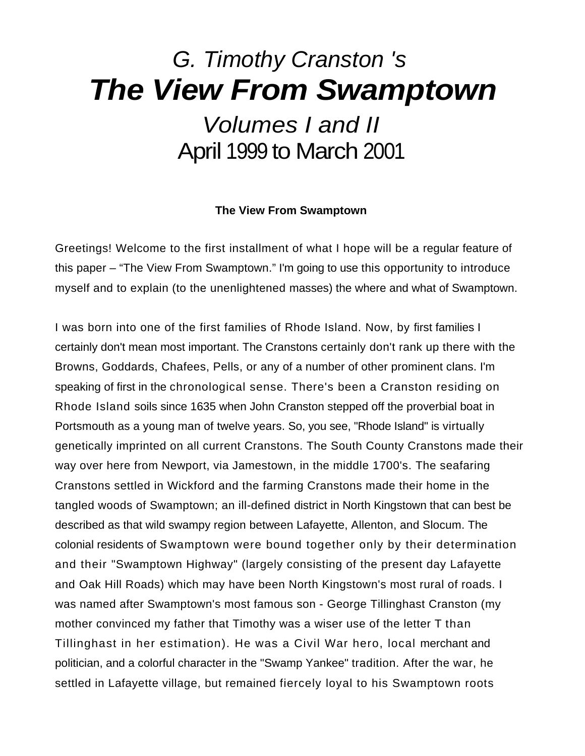# *G. Timothy Cranston 's The View From Swamptown Volumes I and II*  April 1999 to March 2001

## **The View From Swamptown**

Greetings! Welcome to the first installment of what I hope will be a regular feature of this paper – "The View From Swamptown." I'm going to use this opportunity to introduce myself and to explain (to the unenlightened masses) the where and what of Swamptown.

I was born into one of the first families of Rhode Island. Now, by first families I certainly don't mean most important. The Cranstons certainly don't rank up there with the Browns, Goddards, Chafees, Pells, or any of a number of other prominent clans. I'm speaking of first in the chronological sense. There's been a Cranston residing on Rhode Island soils since 1635 when John Cranston stepped off the proverbial boat in Portsmouth as a young man of twelve years. So, you see, "Rhode Island" is virtually genetically imprinted on all current Cranstons. The South County Cranstons made their way over here from Newport, via Jamestown, in the middle 1700's. The seafaring Cranstons settled in Wickford and the farming Cranstons made their home in the tangled woods of Swamptown; an ill-defined district in North Kingstown that can best be described as that wild swampy region between Lafayette, Allenton, and Slocum. The colonial residents of Swamptown were bound together only by their determination and their "Swamptown Highway" (largely consisting of the present day Lafayette and Oak Hill Roads) which may have been North Kingstown's most rural of roads. I was named after Swamptown's most famous son - George Tillinghast Cranston (my mother convinced my father that Timothy was a wiser use of the letter T than Tillinghast in her estimation). He was a Civil War hero, local merchant and politician, and a colorful character in the "Swamp Yankee" tradition. After the war, he settled in Lafayette village, but remained fiercely loyal to his Swamptown roots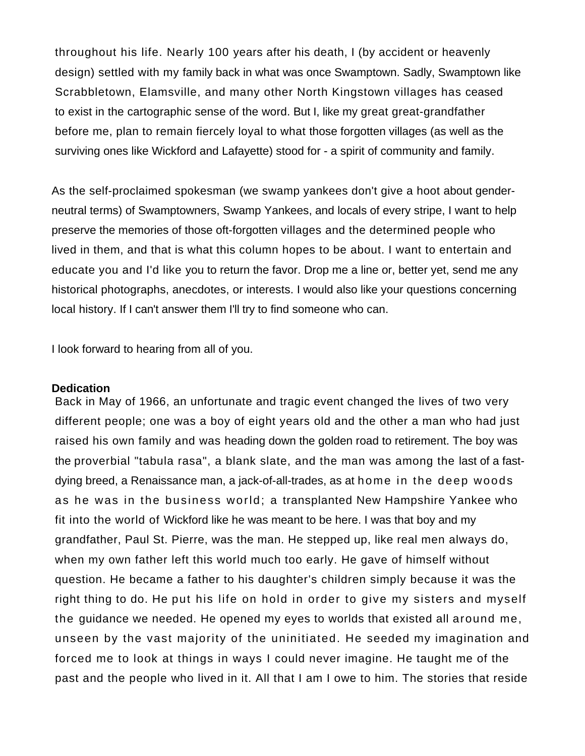throughout his life. Nearly 100 years after his death, I (by accident or heavenly design) settled with my family back in what was once Swamptown. Sadly, Swamptown like Scrabbletown, Elamsville, and many other North Kingstown villages has ceased to exist in the cartographic sense of the word. But I, like my great great-grandfather before me, plan to remain fiercely loyal to what those forgotten villages (as well as the surviving ones like Wickford and Lafayette) stood for - a spirit of community and family.

As the self-proclaimed spokesman (we swamp yankees don't give a hoot about genderneutral terms) of Swamptowners, Swamp Yankees, and locals of every stripe, I want to help preserve the memories of those oft-forgotten villages and the determined people who lived in them, and that is what this column hopes to be about. I want to entertain and educate you and I'd like you to return the favor. Drop me a line or, better yet, send me any historical photographs, anecdotes, or interests. I would also like your questions concerning local history. If I can't answer them I'll try to find someone who can.

I look forward to hearing from all of you.

#### **Dedication**

Back in May of 1966, an unfortunate and tragic event changed the lives of two very different people; one was a boy of eight years old and the other a man who had just raised his own family and was heading down the golden road to retirement. The boy was the proverbial "tabula rasa", a blank slate, and the man was among the last of a fastdying breed, a Renaissance man, a jack-of-all-trades, as at home in the deep woods as he was in the business world; a transplanted New Hampshire Yankee who fit into the world of Wickford like he was meant to be here. I was that boy and my grandfather, Paul St. Pierre, was the man. He stepped up, like real men always do, when my own father left this world much too early. He gave of himself without question. He became a father to his daughter's children simply because it was the right thing to do. He put his life on hold in order to give my sisters and myself the guidance we needed. He opened my eyes to worlds that existed all around me, unseen by the vast majority of the uninitiated. He seeded my imagination and forced me to look at things in ways I could never imagine. He taught me of the past and the people who lived in it. All that I am I owe to him. The stories that reside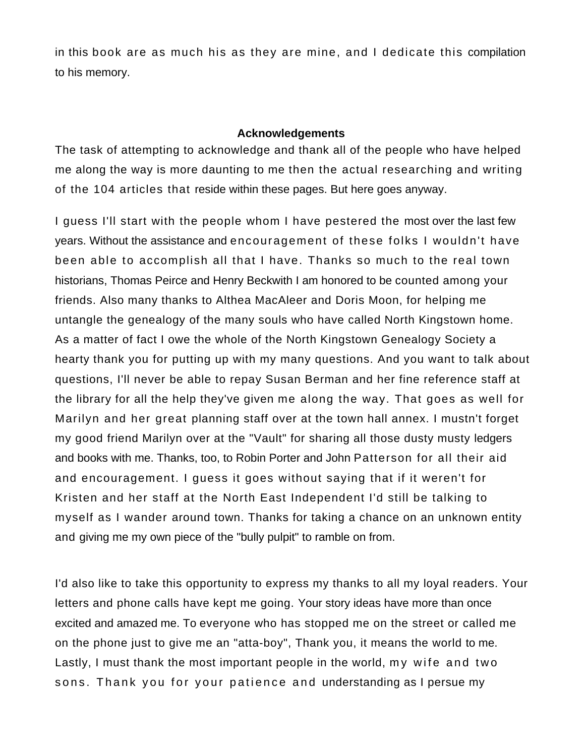in this book are as much his as they are mine, and I dedicate this compilation to his memory.

## **Acknowledgements**

The task of attempting to acknowledge and thank all of the people who have helped me along the way is more daunting to me then the actual researching and writing of the 104 articles that reside within these pages. But here goes anyway.

I guess I'll start with the people whom I have pestered the most over the last few years. Without the assistance and encouragement of these folks I wouldn't have been able to accomplish all that I have. Thanks so much to the real town historians, Thomas Peirce and Henry Beckwith I am honored to be counted among your friends. Also many thanks to Althea MacAleer and Doris Moon, for helping me untangle the genealogy of the many souls who have called North Kingstown home. As a matter of fact I owe the whole of the North Kingstown Genealogy Society a hearty thank you for putting up with my many questions. And you want to talk about questions, I'll never be able to repay Susan Berman and her fine reference staff at the library for all the help they've given me along the way. That goes as well for Marilyn and her great planning staff over at the town hall annex. I mustn't forget my good friend Marilyn over at the "Vault" for sharing all those dusty musty ledgers and books with me. Thanks, too, to Robin Porter and John Patterson for all their aid and encouragement. I guess it goes without saying that if it weren't for Kristen and her staff at the North East Independent I'd still be talking to myself as I wander around town. Thanks for taking a chance on an unknown entity and giving me my own piece of the "bully pulpit" to ramble on from.

I'd also like to take this opportunity to express my thanks to all my loyal readers. Your letters and phone calls have kept me going. Your story ideas have more than once excited and amazed me. To everyone who has stopped me on the street or called me on the phone just to give me an "atta-boy", Thank you, it means the world to me. Lastly, I must thank the most important people in the world, my wife and two sons. Thank you for your patience and understanding as I persue my